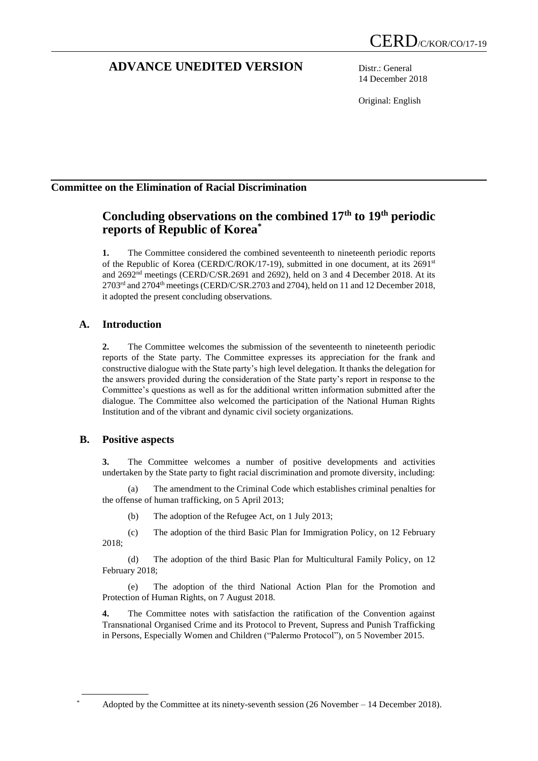# **ADVANCE UNEDITED VERSION** Distr.: General

14 December 2018

Original: English

## **Committee on the Elimination of Racial Discrimination**

# **Concluding observations on the combined 17th to 19th periodic reports of Republic of Korea\***

**1.** The Committee considered the combined seventeenth to nineteenth periodic reports of the Republic of Korea (CERD/C/ROK/17-19), submitted in one document, at its  $2691<sup>st</sup>$ and 2692nd meetings (CERD/C/SR.2691 and 2692), held on 3 and 4 December 2018. At its  $2703<sup>rd</sup>$  and  $2704<sup>th</sup>$  meetings (CERD/C/SR.2703 and 2704), held on 11 and 12 December 2018, it adopted the present concluding observations.

## **A. Introduction**

**2.** The Committee welcomes the submission of the seventeenth to nineteenth periodic reports of the State party. The Committee expresses its appreciation for the frank and constructive dialogue with the State party's high level delegation. It thanks the delegation for the answers provided during the consideration of the State party's report in response to the Committee's questions as well as for the additional written information submitted after the dialogue. The Committee also welcomed the participation of the National Human Rights Institution and of the vibrant and dynamic civil society organizations.

## **B. Positive aspects**

**3.** The Committee welcomes a number of positive developments and activities undertaken by the State party to fight racial discrimination and promote diversity, including:

(a) The amendment to the Criminal Code which establishes criminal penalties for the offense of human trafficking, on 5 April 2013;

(b) The adoption of the Refugee Act, on 1 July 2013;

(c) The adoption of the third Basic Plan for Immigration Policy, on 12 February 2018;

(d) The adoption of the third Basic Plan for Multicultural Family Policy, on 12 February 2018;

(e) The adoption of the third National Action Plan for the Promotion and Protection of Human Rights, on 7 August 2018.

**4.** The Committee notes with satisfaction the ratification of the Convention against Transnational Organised Crime and its Protocol to Prevent, Supress and Punish Trafficking in Persons, Especially Women and Children ("Palermo Protocol"), on 5 November 2015.

Adopted by the Committee at its ninety-seventh session (26 November – 14 December 2018).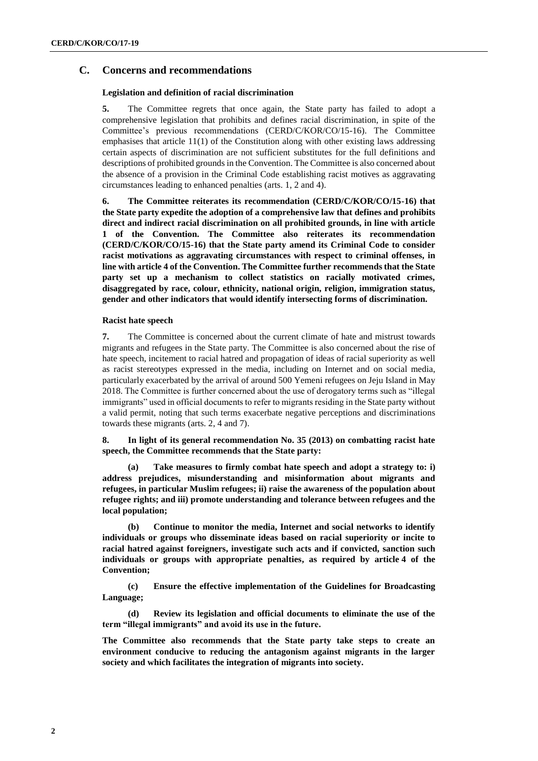## **C. Concerns and recommendations**

### **Legislation and definition of racial discrimination**

**5.** The Committee regrets that once again, the State party has failed to adopt a comprehensive legislation that prohibits and defines racial discrimination, in spite of the Committee's previous recommendations (CERD/C/KOR/CO/15-16). The Committee emphasises that article  $11(1)$  of the Constitution along with other existing laws addressing certain aspects of discrimination are not sufficient substitutes for the full definitions and descriptions of prohibited grounds in the Convention. The Committee is also concerned about the absence of a provision in the Criminal Code establishing racist motives as aggravating circumstances leading to enhanced penalties (arts. 1, 2 and 4).

**6. The Committee reiterates its recommendation (CERD/C/KOR/CO/15-16) that the State party expedite the adoption of a comprehensive law that defines and prohibits direct and indirect racial discrimination on all prohibited grounds, in line with article 1 of the Convention. The Committee also reiterates its recommendation (CERD/C/KOR/CO/15-16) that the State party amend its Criminal Code to consider racist motivations as aggravating circumstances with respect to criminal offenses, in line with article 4 of the Convention. The Committee further recommends that the State party set up a mechanism to collect statistics on racially motivated crimes, disaggregated by race, colour, ethnicity, national origin, religion, immigration status, gender and other indicators that would identify intersecting forms of discrimination.**

### **Racist hate speech**

**7.** The Committee is concerned about the current climate of hate and mistrust towards migrants and refugees in the State party. The Committee is also concerned about the rise of hate speech, incitement to racial hatred and propagation of ideas of racial superiority as well as racist stereotypes expressed in the media, including on Internet and on social media, particularly exacerbated by the arrival of around 500 Yemeni refugees on Jeju Island in May 2018. The Committee is further concerned about the use of derogatory terms such as "illegal immigrants" used in official documents to refer to migrants residing in the State party without a valid permit, noting that such terms exacerbate negative perceptions and discriminations towards these migrants (arts. 2, 4 and 7).

**8. In light of its general recommendation No. 35 (2013) on combatting racist hate speech, the Committee recommends that the State party:** 

**(a) Take measures to firmly combat hate speech and adopt a strategy to: i) address prejudices, misunderstanding and misinformation about migrants and refugees, in particular Muslim refugees; ii) raise the awareness of the population about refugee rights; and iii) promote understanding and tolerance between refugees and the local population;**

**(b) Continue to monitor the media, Internet and social networks to identify individuals or groups who disseminate ideas based on racial superiority or incite to racial hatred against foreigners, investigate such acts and if convicted, sanction such individuals or groups with appropriate penalties, as required by article 4 of the Convention;**

**(c) Ensure the effective implementation of the Guidelines for Broadcasting Language;**

**(d) Review its legislation and official documents to eliminate the use of the term "illegal immigrants" and avoid its use in the future.** 

**The Committee also recommends that the State party take steps to create an environment conducive to reducing the antagonism against migrants in the larger society and which facilitates the integration of migrants into society.**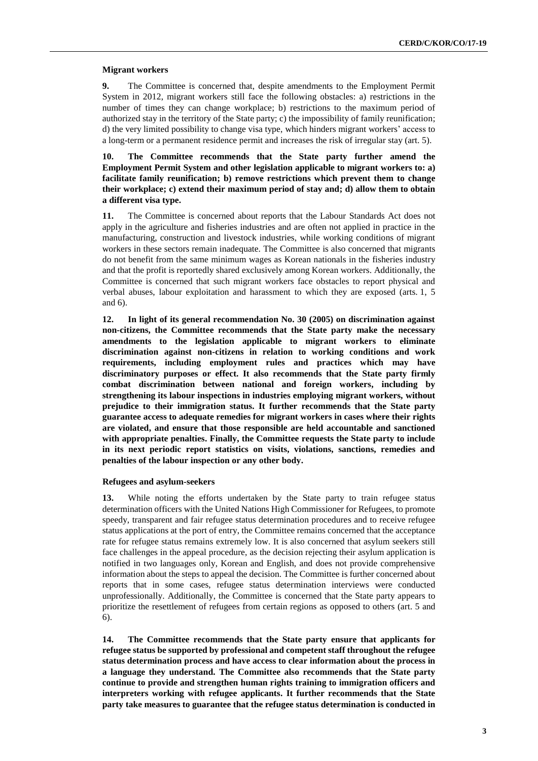#### **Migrant workers**

**9.** The Committee is concerned that, despite amendments to the Employment Permit System in 2012, migrant workers still face the following obstacles: a) restrictions in the number of times they can change workplace; b) restrictions to the maximum period of authorized stay in the territory of the State party; c) the impossibility of family reunification; d) the very limited possibility to change visa type, which hinders migrant workers' access to a long-term or a permanent residence permit and increases the risk of irregular stay (art. 5).

**10. The Committee recommends that the State party further amend the Employment Permit System and other legislation applicable to migrant workers to: a) facilitate family reunification; b) remove restrictions which prevent them to change their workplace; c) extend their maximum period of stay and; d) allow them to obtain a different visa type.**

**11.** The Committee is concerned about reports that the Labour Standards Act does not apply in the agriculture and fisheries industries and are often not applied in practice in the manufacturing, construction and livestock industries, while working conditions of migrant workers in these sectors remain inadequate. The Committee is also concerned that migrants do not benefit from the same minimum wages as Korean nationals in the fisheries industry and that the profit is reportedly shared exclusively among Korean workers. Additionally, the Committee is concerned that such migrant workers face obstacles to report physical and verbal abuses, labour exploitation and harassment to which they are exposed (arts. 1, 5 and 6).

**12. In light of its general recommendation No. 30 (2005) on discrimination against non-citizens, the Committee recommends that the State party make the necessary amendments to the legislation applicable to migrant workers to eliminate discrimination against non-citizens in relation to working conditions and work requirements, including employment rules and practices which may have discriminatory purposes or effect. It also recommends that the State party firmly combat discrimination between national and foreign workers, including by strengthening its labour inspections in industries employing migrant workers, without prejudice to their immigration status. It further recommends that the State party guarantee access to adequate remedies for migrant workers in cases where their rights are violated, and ensure that those responsible are held accountable and sanctioned with appropriate penalties. Finally, the Committee requests the State party to include in its next periodic report statistics on visits, violations, sanctions, remedies and penalties of the labour inspection or any other body.**

#### **Refugees and asylum-seekers**

**13.** While noting the efforts undertaken by the State party to train refugee status determination officers with the United Nations High Commissioner for Refugees, to promote speedy, transparent and fair refugee status determination procedures and to receive refugee status applications at the port of entry, the Committee remains concerned that the acceptance rate for refugee status remains extremely low. It is also concerned that asylum seekers still face challenges in the appeal procedure, as the decision rejecting their asylum application is notified in two languages only, Korean and English, and does not provide comprehensive information about the steps to appeal the decision. The Committee is further concerned about reports that in some cases, refugee status determination interviews were conducted unprofessionally. Additionally, the Committee is concerned that the State party appears to prioritize the resettlement of refugees from certain regions as opposed to others (art. 5 and 6).

**14. The Committee recommends that the State party ensure that applicants for refugee status be supported by professional and competent staff throughout the refugee status determination process and have access to clear information about the process in a language they understand. The Committee also recommends that the State party continue to provide and strengthen human rights training to immigration officers and interpreters working with refugee applicants. It further recommends that the State party take measures to guarantee that the refugee status determination is conducted in**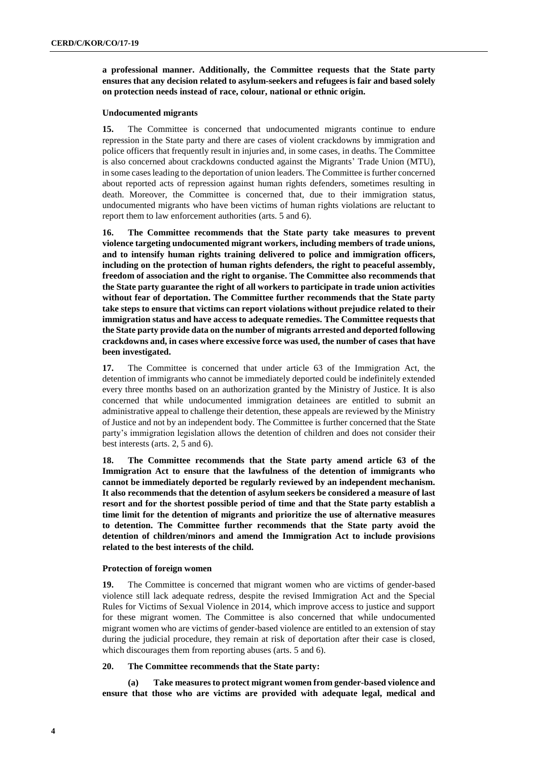**a professional manner. Additionally, the Committee requests that the State party ensures that any decision related to asylum-seekers and refugees is fair and based solely on protection needs instead of race, colour, national or ethnic origin.**

#### **Undocumented migrants**

**15.** The Committee is concerned that undocumented migrants continue to endure repression in the State party and there are cases of violent crackdowns by immigration and police officers that frequently result in injuries and, in some cases, in deaths. The Committee is also concerned about crackdowns conducted against the Migrants' Trade Union (MTU), in some cases leading to the deportation of union leaders. The Committee is further concerned about reported acts of repression against human rights defenders, sometimes resulting in death. Moreover, the Committee is concerned that, due to their immigration status, undocumented migrants who have been victims of human rights violations are reluctant to report them to law enforcement authorities (arts. 5 and 6).

**16. The Committee recommends that the State party take measures to prevent violence targeting undocumented migrant workers, including members of trade unions, and to intensify human rights training delivered to police and immigration officers, including on the protection of human rights defenders, the right to peaceful assembly, freedom of association and the right to organise. The Committee also recommends that the State party guarantee the right of all workers to participate in trade union activities without fear of deportation. The Committee further recommends that the State party take steps to ensure that victims can report violations without prejudice related to their immigration status and have access to adequate remedies. The Committee requests that the State party provide data on the number of migrants arrested and deported following crackdowns and, in cases where excessive force was used, the number of cases that have been investigated.**

**17.** The Committee is concerned that under article 63 of the Immigration Act, the detention of immigrants who cannot be immediately deported could be indefinitely extended every three months based on an authorization granted by the Ministry of Justice. It is also concerned that while undocumented immigration detainees are entitled to submit an administrative appeal to challenge their detention, these appeals are reviewed by the Ministry of Justice and not by an independent body. The Committee is further concerned that the State party's immigration legislation allows the detention of children and does not consider their best interests (arts. 2, 5 and 6).

**18. The Committee recommends that the State party amend article 63 of the Immigration Act to ensure that the lawfulness of the detention of immigrants who cannot be immediately deported be regularly reviewed by an independent mechanism. It also recommends that the detention of asylum seekers be considered a measure of last resort and for the shortest possible period of time and that the State party establish a time limit for the detention of migrants and prioritize the use of alternative measures to detention. The Committee further recommends that the State party avoid the detention of children/minors and amend the Immigration Act to include provisions related to the best interests of the child.** 

#### **Protection of foreign women**

**19.** The Committee is concerned that migrant women who are victims of gender-based violence still lack adequate redress, despite the revised Immigration Act and the Special Rules for Victims of Sexual Violence in 2014, which improve access to justice and support for these migrant women. The Committee is also concerned that while undocumented migrant women who are victims of gender-based violence are entitled to an extension of stay during the judicial procedure, they remain at risk of deportation after their case is closed, which discourages them from reporting abuses (arts. 5 and 6).

#### **20. The Committee recommends that the State party:**

**(a) Take measures to protect migrant women from gender-based violence and ensure that those who are victims are provided with adequate legal, medical and**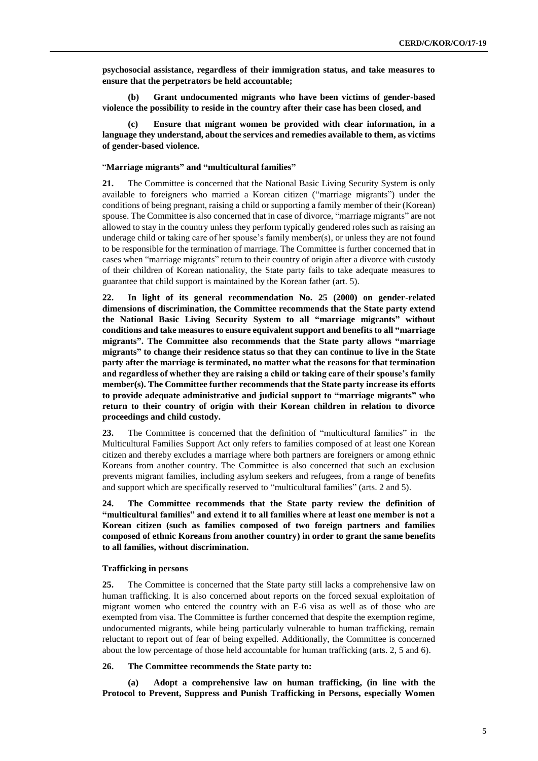**psychosocial assistance, regardless of their immigration status, and take measures to ensure that the perpetrators be held accountable;** 

**(b) Grant undocumented migrants who have been victims of gender-based violence the possibility to reside in the country after their case has been closed, and** 

**(c) Ensure that migrant women be provided with clear information, in a language they understand, about the services and remedies available to them, as victims of gender-based violence.**

#### "**Marriage migrants" and "multicultural families"**

**21.** The Committee is concerned that the National Basic Living Security System is only available to foreigners who married a Korean citizen ("marriage migrants") under the conditions of being pregnant, raising a child or supporting a family member of their (Korean) spouse. The Committee is also concerned that in case of divorce, "marriage migrants" are not allowed to stay in the country unless they perform typically gendered roles such as raising an underage child or taking care of her spouse's family member(s), or unless they are not found to be responsible for the termination of marriage. The Committee is further concerned that in cases when "marriage migrants" return to their country of origin after a divorce with custody of their children of Korean nationality, the State party fails to take adequate measures to guarantee that child support is maintained by the Korean father (art. 5).

**22. In light of its general recommendation No. 25 (2000) on gender-related dimensions of discrimination, the Committee recommends that the State party extend the National Basic Living Security System to all "marriage migrants" without conditions and take measures to ensure equivalent support and benefits to all "marriage migrants". The Committee also recommends that the State party allows "marriage migrants" to change their residence status so that they can continue to live in the State party after the marriage is terminated, no matter what the reasons for that termination and regardless of whether they are raising a child or taking care of their spouse's family member(s). The Committee further recommends that the State party increase its efforts to provide adequate administrative and judicial support to "marriage migrants" who return to their country of origin with their Korean children in relation to divorce proceedings and child custody.**

**23.** The Committee is concerned that the definition of "multicultural families" in the Multicultural Families Support Act only refers to families composed of at least one Korean citizen and thereby excludes a marriage where both partners are foreigners or among ethnic Koreans from another country. The Committee is also concerned that such an exclusion prevents migrant families, including asylum seekers and refugees, from a range of benefits and support which are specifically reserved to "multicultural families" (arts. 2 and 5).

**24. The Committee recommends that the State party review the definition of "multicultural families" and extend it to all families where at least one member is not a Korean citizen (such as families composed of two foreign partners and families composed of ethnic Koreans from another country) in order to grant the same benefits to all families, without discrimination.** 

#### **Trafficking in persons**

**25.** The Committee is concerned that the State party still lacks a comprehensive law on human trafficking. It is also concerned about reports on the forced sexual exploitation of migrant women who entered the country with an E-6 visa as well as of those who are exempted from visa. The Committee is further concerned that despite the exemption regime, undocumented migrants, while being particularly vulnerable to human trafficking, remain reluctant to report out of fear of being expelled. Additionally, the Committee is concerned about the low percentage of those held accountable for human trafficking (arts. 2, 5 and 6).

#### **26. The Committee recommends the State party to:**

**(a) Adopt a comprehensive law on human trafficking, (in line with the Protocol to Prevent, Suppress and Punish Trafficking in Persons, especially Women**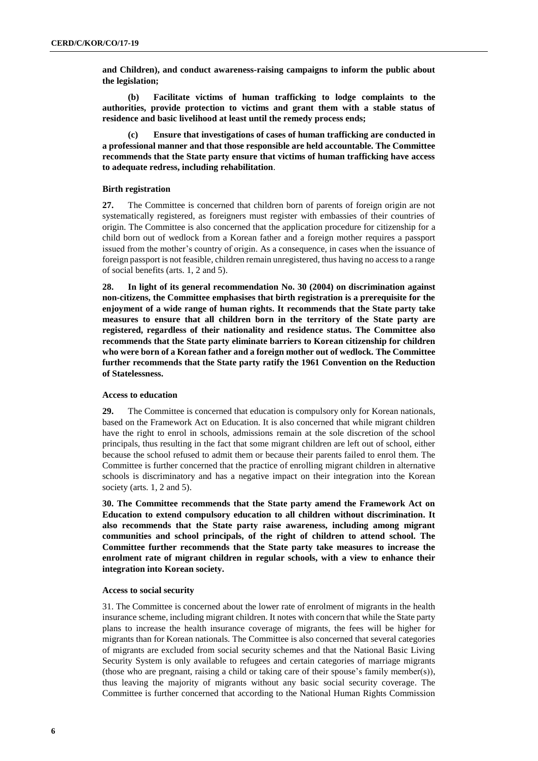**and Children), and conduct awareness-raising campaigns to inform the public about the legislation;**

**(b) Facilitate victims of human trafficking to lodge complaints to the authorities, provide protection to victims and grant them with a stable status of residence and basic livelihood at least until the remedy process ends;** 

**(c) Ensure that investigations of cases of human trafficking are conducted in a professional manner and that those responsible are held accountable. The Committee recommends that the State party ensure that victims of human trafficking have access to adequate redress, including rehabilitation**.

#### **Birth registration**

**27.** The Committee is concerned that children born of parents of foreign origin are not systematically registered, as foreigners must register with embassies of their countries of origin. The Committee is also concerned that the application procedure for citizenship for a child born out of wedlock from a Korean father and a foreign mother requires a passport issued from the mother's country of origin. As a consequence, in cases when the issuance of foreign passport is not feasible, children remain unregistered, thus having no access to a range of social benefits (arts. 1, 2 and 5).

**28. In light of its general recommendation No. 30 (2004) on discrimination against non-citizens, the Committee emphasises that birth registration is a prerequisite for the enjoyment of a wide range of human rights. It recommends that the State party take measures to ensure that all children born in the territory of the State party are registered, regardless of their nationality and residence status. The Committee also recommends that the State party eliminate barriers to Korean citizenship for children who were born of a Korean father and a foreign mother out of wedlock. The Committee further recommends that the State party ratify the 1961 Convention on the Reduction of Statelessness.**

#### **Access to education**

**29.** The Committee is concerned that education is compulsory only for Korean nationals, based on the Framework Act on Education. It is also concerned that while migrant children have the right to enrol in schools, admissions remain at the sole discretion of the school principals, thus resulting in the fact that some migrant children are left out of school, either because the school refused to admit them or because their parents failed to enrol them. The Committee is further concerned that the practice of enrolling migrant children in alternative schools is discriminatory and has a negative impact on their integration into the Korean society (arts. 1, 2 and 5).

**30. The Committee recommends that the State party amend the Framework Act on Education to extend compulsory education to all children without discrimination. It also recommends that the State party raise awareness, including among migrant communities and school principals, of the right of children to attend school. The Committee further recommends that the State party take measures to increase the enrolment rate of migrant children in regular schools, with a view to enhance their integration into Korean society.**

#### **Access to social security**

31. The Committee is concerned about the lower rate of enrolment of migrants in the health insurance scheme, including migrant children. It notes with concern that while the State party plans to increase the health insurance coverage of migrants, the fees will be higher for migrants than for Korean nationals. The Committee is also concerned that several categories of migrants are excluded from social security schemes and that the National Basic Living Security System is only available to refugees and certain categories of marriage migrants (those who are pregnant, raising a child or taking care of their spouse's family member(s)), thus leaving the majority of migrants without any basic social security coverage. The Committee is further concerned that according to the National Human Rights Commission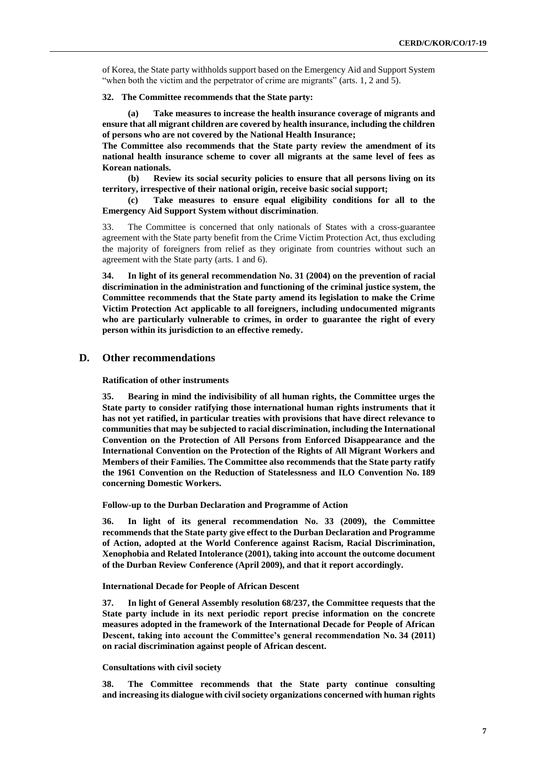of Korea, the State party withholds support based on the Emergency Aid and Support System "when both the victim and the perpetrator of crime are migrants" (arts. 1, 2 and 5).

**32. The Committee recommends that the State party:**

**(a) Take measures to increase the health insurance coverage of migrants and ensure that all migrant children are covered by health insurance, including the children of persons who are not covered by the National Health Insurance;**

**The Committee also recommends that the State party review the amendment of its national health insurance scheme to cover all migrants at the same level of fees as Korean nationals.**

**(b) Review its social security policies to ensure that all persons living on its territory, irrespective of their national origin, receive basic social support;**

**(c) Take measures to ensure equal eligibility conditions for all to the Emergency Aid Support System without discrimination**.

33. The Committee is concerned that only nationals of States with a cross-guarantee agreement with the State party benefit from the Crime Victim Protection Act, thus excluding the majority of foreigners from relief as they originate from countries without such an agreement with the State party (arts. 1 and 6).

**34. In light of its general recommendation No. 31 (2004) on the prevention of racial discrimination in the administration and functioning of the criminal justice system, the Committee recommends that the State party amend its legislation to make the Crime Victim Protection Act applicable to all foreigners, including undocumented migrants who are particularly vulnerable to crimes, in order to guarantee the right of every person within its jurisdiction to an effective remedy.**

### **D. Other recommendations**

**Ratification of other instruments**

**35. Bearing in mind the indivisibility of all human rights, the Committee urges the State party to consider ratifying those international human rights instruments that it has not yet ratified, in particular treaties with provisions that have direct relevance to communities that may be subjected to racial discrimination, including the International Convention on the Protection of All Persons from Enforced Disappearance and the International Convention on the Protection of the Rights of All Migrant Workers and Members of their Families. The Committee also recommends that the State party ratify the 1961 Convention on the Reduction of Statelessness and ILO Convention No. 189 concerning Domestic Workers.**

**Follow-up to the Durban Declaration and Programme of Action**

**36. In light of its general recommendation No. 33 (2009), the Committee recommends that the State party give effect to the Durban Declaration and Programme of Action, adopted at the World Conference against Racism, Racial Discrimination, Xenophobia and Related Intolerance (2001), taking into account the outcome document of the Durban Review Conference (April 2009), and that it report accordingly.** 

## **International Decade for People of African Descent**

**37. In light of General Assembly resolution 68/237, the Committee requests that the State party include in its next periodic report precise information on the concrete measures adopted in the framework of the International Decade for People of African Descent, taking into account the Committee's general recommendation No. 34 (2011) on racial discrimination against people of African descent.** 

#### **Consultations with civil society**

**38. The Committee recommends that the State party continue consulting and increasing its dialogue with civil society organizations concerned with human rights**